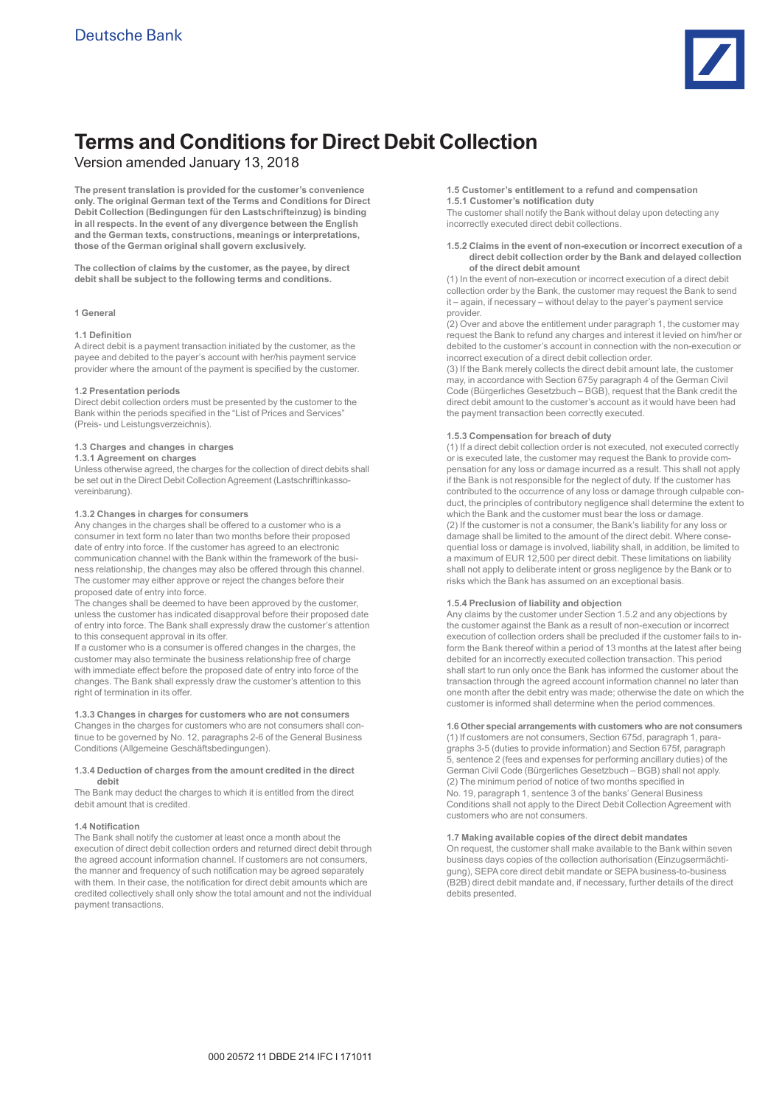

# **Terms and Conditions for Direct Debit Collection**

# Version amended January 13, 2018

**The present translation is provided for the customer's convenience only. The original German text of the Terms and Conditions for Direct Debit Collection (Bedingungen für den Lastschrifteinzug) is binding in all respects. In the event of any divergence between the English and the German texts, constructions, meanings or interpretations, those of the German original shall govern exclusively.**

**The collection of claims by the customer, as the payee, by direct debit shall be subject to the following terms and conditions.**

### **1 General**

### **1.1 Definition**

A direct debit is a payment transaction initiated by the customer, as the payee and debited to the payer's account with her/his payment service provider where the amount of the payment is specified by the customer.

#### **1.2 Presentation periods**

Direct debit collection orders must be presented by the customer to the Bank within the periods specified in the "List of Prices and Services" (Preis- und Leistungsverzeichnis).

### **1.3 Charges and changes in charges**

#### **1.3.1 Agreement on charges**

Unless otherwise agreed, the charges for the collection of direct debits shall be set out in the Direct Debit Collection Agreement (Lastschriftinkassovereinbarung).

#### **1.3.2 Changes in charges for consumers**

Any changes in the charges shall be offered to a customer who is a consumer in text form no later than two months before their proposed date of entry into force. If the customer has agreed to an electronic communication channel with the Bank within the framework of the business relationship, the changes may also be offered through this channel. The customer may either approve or reject the changes before their proposed date of entry into force.

The changes shall be deemed to have been approved by the customer, unless the customer has indicated disapproval before their proposed date of entry into force. The Bank shall expressly draw the customer's attention to this consequent approval in its offer.

If a customer who is a consumer is offered changes in the charges, the customer may also terminate the business relationship free of charge with immediate effect before the proposed date of entry into force of the changes. The Bank shall expressly draw the customer's attention to this right of termination in its offer.

#### **1.3.3 Changes in charges for customers who are not consumers** Changes in the charges for customers who are not consumers shall con-

tinue to be governed by No. 12, paragraphs 2-6 of the General Business Conditions (Allgemeine Geschäftsbedingungen).

#### **1.3.4 Deduction of charges from the amount credited in the direct debit**

The Bank may deduct the charges to which it is entitled from the direct debit amount that is credited.

#### **1.4 Notification**

The Bank shall notify the customer at least once a month about the execution of direct debit collection orders and returned direct debit through the agreed account information channel. If customers are not consumers, the manner and frequency of such notification may be agreed separately with them. In their case, the notification for direct debit amounts which are credited collectively shall only show the total amount and not the individual payment transactions.

#### **1.5 Customer's entitlement to a refund and compensation 1.5.1 Customer's notification duty**

The customer shall notify the Bank without delay upon detecting any incorrectly executed direct debit collections.

#### **1.5.2 Claims in the event of non-execution or incorrect execution of a direct debit collection order by the Bank and delayed collection of the direct debit amount**

(1) In the event of non-execution or incorrect execution of a direct debit collection order by the Bank, the customer may request the Bank to send it – again, if necessary – without delay to the payer's payment service provider.

(2) Over and above the entitlement under paragraph 1, the customer may request the Bank to refund any charges and interest it levied on him/her or debited to the customer's account in connection with the non-execution or incorrect execution of a direct debit collection order.

(3) If the Bank merely collects the direct debit amount late, the customer may, in accordance with Section 675y paragraph 4 of the German Civil Code (Bürgerliches Gesetzbuch – BGB), request that the Bank credit the direct debit amount to the customer's account as it would have been had the payment transaction been correctly executed.

#### **1.5.3 Compensation for breach of duty**

(1) If a direct debit collection order is not executed, not executed correctly or is executed late, the customer may request the Bank to provide compensation for any loss or damage incurred as a result. This shall not apply if the Bank is not responsible for the neglect of duty. If the customer has contributed to the occurrence of any loss or damage through culpable conduct, the principles of contributory negligence shall determine the extent to which the Bank and the customer must bear the loss or damage. (2) If the customer is not a consumer, the Bank's liability for any loss or damage shall be limited to the amount of the direct debit. Where consequential loss or damage is involved, liability shall, in addition, be limited to a maximum of EUR 12,500 per direct debit. These limitations on liability shall not apply to deliberate intent or gross negligence by the Bank or to risks which the Bank has assumed on an exceptional basis.

#### **1.5.4 Preclusion of liability and objection**

Any claims by the customer under Section 1.5.2 and any objections by the customer against the Bank as a result of non-execution or incorrect execution of collection orders shall be precluded if the customer fails to inform the Bank thereof within a period of 13 months at the latest after being debited for an incorrectly executed collection transaction. This period shall start to run only once the Bank has informed the customer about the transaction through the agreed account information channel no later than one month after the debit entry was made; otherwise the date on which the customer is informed shall determine when the period commences.

### **1.6 Other special arrangements with customers who are not consumers**

(1) If customers are not consumers, Section 675d, paragraph 1, paragraphs 3-5 (duties to provide information) and Section 675f, paragraph 5, sentence 2 (fees and expenses for performing ancillary duties) of the German Civil Code (Bürgerliches Gesetzbuch – BGB) shall not apply. (2) The minimum period of notice of two months specified in No. 19, paragraph 1, sentence 3 of the banks' General Business Conditions shall not apply to the Direct Debit Collection Agreement with customers who are not consumers.

## **1.7 Making available copies of the direct debit mandates**

On request, the customer shall make available to the Bank within seven business days copies of the collection authorisation (Einzugsermächtigung), SEPA core direct debit mandate or SEPA business-to-business (B2B) direct debit mandate and, if necessary, further details of the direct debits presented.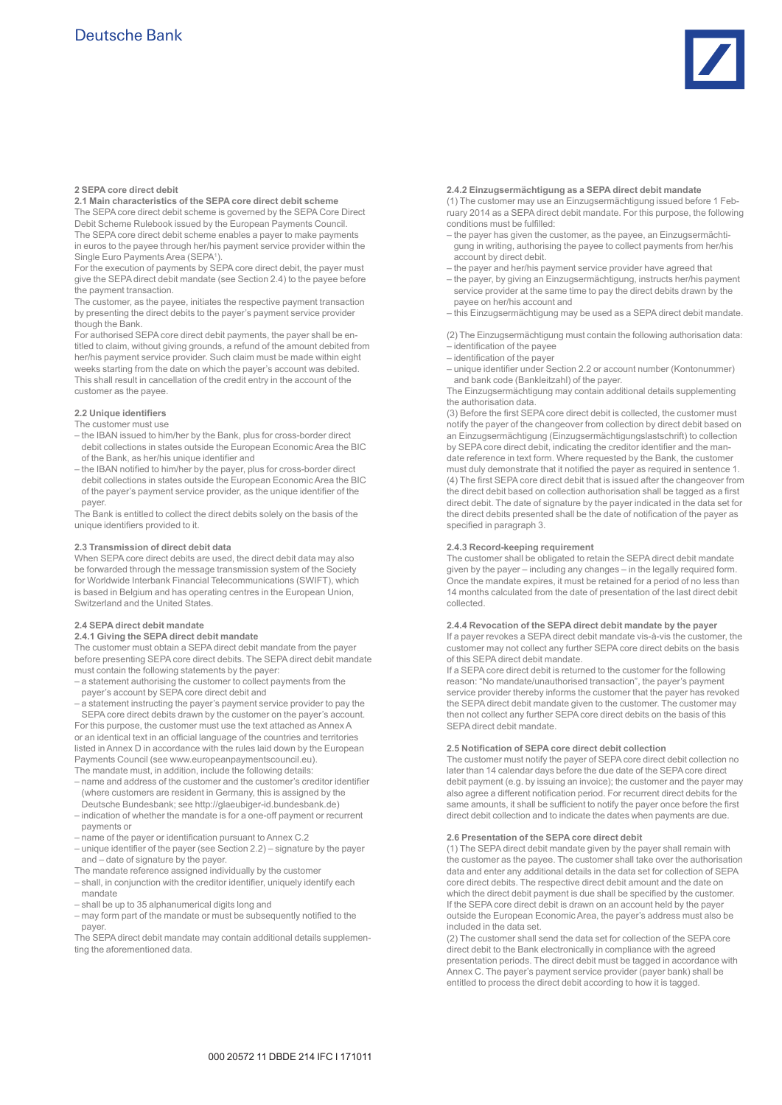### **2 SEPA core direct debit**

**2.1 Main characteristics of the SEPA core direct debit scheme** The SEPA core direct debit scheme is governed by the SEPA Core Direct Debit Scheme Rulebook issued by the European Payments Council. The SEPA core direct debit scheme enables a payer to make payments in euros to the payee through her/his payment service provider within the

Single Euro Payments Area (SEPA1). For the execution of payments by SEPA core direct debit, the payer must give the SEPA direct debit mandate (see Section 2.4) to the payee before the payment transaction.

The customer, as the payee, initiates the respective payment transaction by presenting the direct debits to the payer's payment service provider though the Bank.

For authorised SEPA core direct debit payments, the payer shall be entitled to claim, without giving grounds, a refund of the amount debited from her/his payment service provider. Such claim must be made within eight weeks starting from the date on which the payer's account was debited. This shall result in cancellation of the credit entry in the account of the customer as the payee.

#### **2.2 Unique identifiers**

# The customer must use

- the IBAN issued to him/her by the Bank, plus for cross-border direct debit collections in states outside the European Economic Area the BIC of the Bank, as her/his unique identifier and
- the IBAN notified to him/her by the payer, plus for cross-border direct debit collections in states outside the European Economic Area the BIC of the payer's payment service provider, as the unique identifier of the payer.

The Bank is entitled to collect the direct debits solely on the basis of the unique identifiers provided to it.

#### **2.3 Transmission of direct debit data**

When SEPA core direct debits are used, the direct debit data may also be forwarded through the message transmission system of the Society for Worldwide Interbank Financial Telecommunications (SWIFT), which is based in Belgium and has operating centres in the European Union, Switzerland and the United States.

#### **2.4 SEPA direct debit mandate**

#### **2.4.1 Giving the SEPA direct debit mandate**

The customer must obtain a SEPA direct debit mandate from the payer before presenting SEPA core direct debits. The SEPA direct debit mandate must contain the following statements by the payer:

– a statement authorising the customer to collect payments from the payer's account by SEPA core direct debit and

– a statement instructing the payer's payment service provider to pay the SEPA core direct debits drawn by the customer on the payer's account.

For this purpose, the customer must use the text attached as Annex A or an identical text in an official language of the countries and territories listed in Annex D in accordance with the rules laid down by the European Payments Council (see www.europeanpaymentscouncil.eu). The mandate must, in addition, include the following details:

- name and address of the customer and the customer's creditor identifier (where customers are resident in Germany, this is assigned by the Deutsche Bundesbank; see http://glaeubiger-id.bundesbank.de)
- indication of whether the mandate is for a one-off payment or recurrent payments or
- name of the payer or identification pursuant to Annex C.2
- unique identifier of the payer (see Section 2.2) signature by the payer and – date of signature by the payer.
- The mandate reference assigned individually by the customer
- shall, in conjunction with the creditor identifier, uniquely identify each mandate
- shall be up to 35 alphanumerical digits long and

– may form part of the mandate or must be subsequently notified to the payer.

The SEPA direct debit mandate may contain additional details supplementing the aforementioned data.

**2.4.2 Einzugsermächtigung as a SEPA direct debit mandate** 

(1) The customer may use an Einzugsermächtigung issued before 1 February 2014 as a SEPA direct debit mandate. For this purpose, the following conditions must be fulfilled:

- the payer has given the customer, as the payee, an Einzugsermächtigung in writing, authorising the payee to collect payments from her/his account by direct debit.
- the payer and her/his payment service provider have agreed that
- the payer, by giving an Einzugsermächtigung, instructs her/his payment service provider at the same time to pay the direct debits drawn by the payee on her/his account and
- this Einzugsermächtigung may be used as a SEPA direct debit mandate.

(2) The Einzugsermächtigung must contain the following authorisation data: – identification of the payee

- identification of the payer
- unique identifier under Section 2.2 or account number (Kontonummer) and bank code (Bankleitzahl) of the payer.

The Einzugsermächtigung may contain additional details supplementing the authorisation data.

(3) Before the first SEPA core direct debit is collected, the customer must notify the payer of the changeover from collection by direct debit based on an Einzugsermächtigung (Einzugsermächtigungslastschrift) to collection by SEPA core direct debit, indicating the creditor identifier and the mandate reference in text form. Where requested by the Bank, the customer must duly demonstrate that it notified the payer as required in sentence 1. (4) The first SEPA core direct debit that is issued after the changeover from the direct debit based on collection authorisation shall be tagged as a first direct debit. The date of signature by the payer indicated in the data set for the direct debits presented shall be the date of notification of the payer as specified in paragraph 3.

#### **2.4.3 Record-keeping requirement**

The customer shall be obligated to retain the SEPA direct debit mandate given by the payer – including any changes – in the legally required form. Once the mandate expires, it must be retained for a period of no less than 14 months calculated from the date of presentation of the last direct debit collected.

#### **2.4.4 Revocation of the SEPA direct debit mandate by the payer**  If a payer revokes a SEPA direct debit mandate vis-à-vis the customer, the customer may not collect any further SEPA core direct debits on the basis of this SEPA direct debit mandate.

If a SEPA core direct debit is returned to the customer for the following reason: "No mandate/unauthorised transaction", the payer's payment service provider thereby informs the customer that the payer has revoked the SEPA direct debit mandate given to the customer. The customer may then not collect any further SEPA core direct debits on the basis of this SEPA direct debit mandate.

#### **2.5 Notification of SEPA core direct debit collection**

The customer must notify the payer of SEPA core direct debit collection no later than 14 calendar days before the due date of the SEPA core direct debit payment (e.g. by issuing an invoice); the customer and the payer may also agree a different notification period. For recurrent direct debits for the same amounts, it shall be sufficient to notify the payer once before the first direct debit collection and to indicate the dates when payments are due.

### **2.6 Presentation of the SEPA core direct debit**

(1) The SEPA direct debit mandate given by the payer shall remain with the customer as the payee. The customer shall take over the authorisation data and enter any additional details in the data set for collection of SEPA core direct debits. The respective direct debit amount and the date on which the direct debit payment is due shall be specified by the customer. If the SEPA core direct debit is drawn on an account held by the paye outside the European Economic Area, the payer's address must also be included in the data set.

(2) The customer shall send the data set for collection of the SEPA core direct debit to the Bank electronically in compliance with the agreed presentation periods. The direct debit must be tagged in accordance with Annex C. The payer's payment service provider (payer bank) shall be entitled to process the direct debit according to how it is tagged.

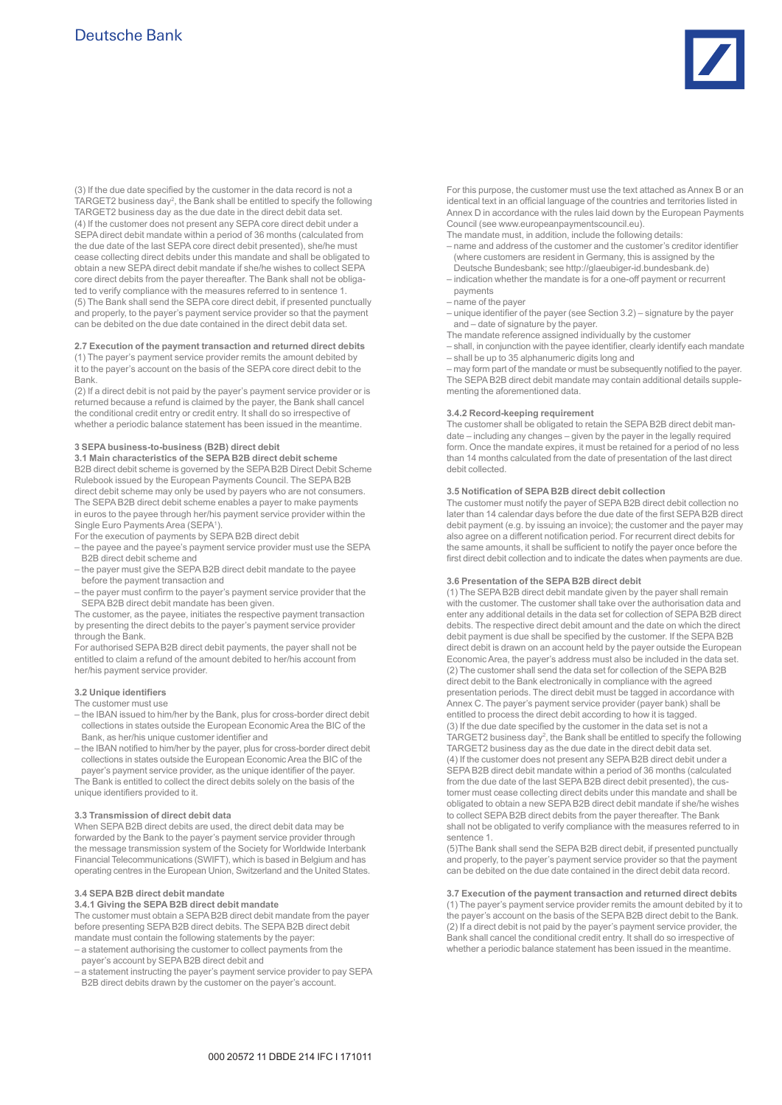

(3) If the due date specified by the customer in the data record is not a TARGET2 business day<sup>2</sup>, the Bank shall be entitled to specify the following TARGET2 business day as the due date in the direct debit data set. (4) If the customer does not present any SEPA core direct debit under a SEPA direct debit mandate within a period of 36 months (calculated from the due date of the last SEPA core direct debit presented), she/he must cease collecting direct debits under this mandate and shall be obligated to obtain a new SEPA direct debit mandate if she/he wishes to collect SEPA core direct debits from the payer thereafter. The Bank shall not be obligated to verify compliance with the measures referred to in sentence 1. (5) The Bank shall send the SEPA core direct debit, if presented punctually and properly, to the payer's payment service provider so that the payment can be debited on the due date contained in the direct debit data set.

#### **2.7 Execution of the payment transaction and returned direct debits**

(1) The payer's payment service provider remits the amount debited by it to the payer's account on the basis of the SEPA core direct debit to the Bank.

(2) If a direct debit is not paid by the payer's payment service provider or is returned because a refund is claimed by the payer, the Bank shall cancel the conditional credit entry or credit entry. It shall do so irrespective of whether a periodic balance statement has been issued in the meantime.

#### **3 SEPA business-to-business (B2B) direct debit**

**3.1 Main characteristics of the SEPA B2B direct debit scheme**  B2B direct debit scheme is governed by the SEPA B2B Direct Debit Scheme Rulebook issued by the European Payments Council. The SEPA B2B direct debit scheme may only be used by payers who are not consumers. The SEPA B2B direct debit scheme enables a payer to make payments in euros to the payee through her/his payment service provider within the Single Euro Payments Area (SEPA<sup>1</sup>).

For the execution of payments by SEPA B2B direct debit

- the payee and the payee's payment service provider must use the SEPA B2B direct debit scheme and
- the payer must give the SEPA B2B direct debit mandate to the payee before the payment transaction and
- the payer must confirm to the payer's payment service provider that the SEPA B2B direct debit mandate has been given.

The customer, as the payee, initiates the respective payment transaction by presenting the direct debits to the payer's payment service provider through the Bank.

For authorised SEPA B2B direct debit payments, the payer shall not be entitled to claim a refund of the amount debited to her/his account from her/his payment service provider.

### **3.2 Unique identifiers**

#### The customer must use

- the IBAN issued to him/her by the Bank, plus for cross-border direct debit collections in states outside the European Economic Area the BIC of the Bank, as her/his unique customer identifier and
- the IBAN notified to him/her by the payer, plus for cross-border direct debit collections in states outside the European Economic Area the BIC of the payer's payment service provider, as the unique identifier of the payer. The Bank is entitled to collect the direct debits solely on the basis of the unique identifiers provided to it.

#### **3.3 Transmission of direct debit data**

When SEPA B2B direct debits are used, the direct debit data may be forwarded by the Bank to the payer's payment service provider through the message transmission system of the Society for Worldwide Interbank Financial Telecommunications (SWIFT), which is based in Belgium and has operating centres in the European Union, Switzerland and the United States.

#### **3.4 SEPA B2B direct debit mandate**

#### **3.4.1 Giving the SEPA B2B direct debit mandate**

The customer must obtain a SEPA B2B direct debit mandate from the payer before presenting SEPA B2B direct debits. The SEPA B2B direct debit mandate must contain the following statements by the payer:

- a statement authorising the customer to collect payments from the payer's account by SEPA B2B direct debit and
- a statement instructing the payer's payment service provider to pay SEPA B2B direct debits drawn by the customer on the payer's account.

For this purpose, the customer must use the text attached as Annex B or an identical text in an official language of the countries and territories listed in Annex D in accordance with the rules laid down by the European Payments Council (see www.europeanpaymentscouncil.eu).

- The mandate must, in addition, include the following details:
- name and address of the customer and the customer's creditor identifier (where customers are resident in Germany, this is assigned by the Deutsche Bundesbank; see http://glaeubiger-id.bundesbank.de)
- indication whether the mandate is for a one-off payment or recurrent payments
- name of the payer
- unique identifier of the payer (see Section 3.2) signature by the payer and – date of signature by the payer.
- The mandate reference assigned individually by the customer
- shall, in conjunction with the payee identifier, clearly identify each mandate – shall be up to 35 alphanumeric digits long and
- may form part of the mandate or must be subsequently notified to the payer. The SEPA B2B direct debit mandate may contain additional details supplementing the aforementioned data.

## **3.4.2 Record-keeping requirement**

The customer shall be obligated to retain the SEPA B2B direct debit mandate – including any changes – given by the payer in the legally required form. Once the mandate expires, it must be retained for a period of no less than 14 months calculated from the date of presentation of the last direct debit collected.

#### **3.5 Notification of SEPA B2B direct debit collection**

The customer must notify the payer of SEPA B2B direct debit collection no later than 14 calendar days before the due date of the first SEPA B2B direct debit payment (e.g. by issuing an invoice); the customer and the payer may also agree on a different notification period. For recurrent direct debits for the same amounts, it shall be sufficient to notify the payer once before the first direct debit collection and to indicate the dates when payments are due.

#### **3.6 Presentation of the SEPA B2B direct debit**

(1) The SEPA B2B direct debit mandate given by the payer shall remain with the customer. The customer shall take over the authorisation data and enter any additional details in the data set for collection of SEPA B2B direct debits. The respective direct debit amount and the date on which the direct debit payment is due shall be specified by the customer. If the SEPA B2B direct debit is drawn on an account held by the payer outside the European Economic Area, the payer's address must also be included in the data set. (2) The customer shall send the data set for collection of the SEPA B2B direct debit to the Bank electronically in compliance with the agreed presentation periods. The direct debit must be tagged in accordance with Annex C. The payer's payment service provider (payer bank) shall be entitled to process the direct debit according to how it is tagged. (3) If the due date specified by the customer in the data set is not a TARGET2 business day<sup>2</sup>, the Bank shall be entitled to specify the following TARGET2 business day as the due date in the direct debit data set. (4) If the customer does not present any SEPA B2B direct debit under a SEPA B2B direct debit mandate within a period of 36 months (calculated from the due date of the last SEPA B2B direct debit presented), the customer must cease collecting direct debits under this mandate and shall be obligated to obtain a new SEPA B2B direct debit mandate if she/he wishes to collect SEPA B2B direct debits from the payer thereafter. The Bank shall not be obligated to verify compliance with the measures referred to in sentence 1.

(5)The Bank shall send the SEPA B2B direct debit, if presented punctually and properly, to the payer's payment service provider so that the payment can be debited on the due date contained in the direct debit data record.

#### **3.7 Execution of the payment transaction and returned direct debits**

(1) The payer's payment service provider remits the amount debited by it to the payer's account on the basis of the SEPA B2B direct debit to the Bank. (2) If a direct debit is not paid by the payer's payment service provider, the Bank shall cancel the conditional credit entry. It shall do so irrespective of whether a periodic balance statement has been issued in the meantime.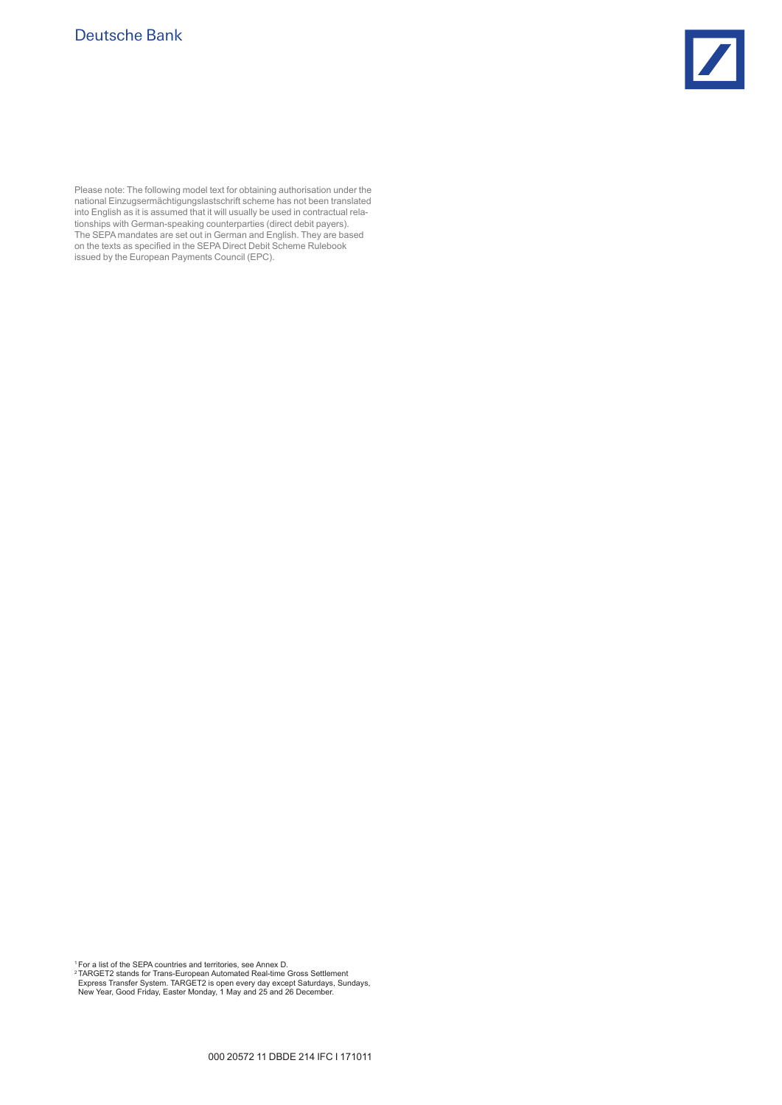Please note: The following model text for obtaining authorisation under the national Einzugsermächtigungslastschrift scheme has not been translated into English as it is assumed that it will usually be used in contractual relationships with German-speaking counterparties (direct debit payers). The SEPA mandates are set out in German and English. They are based on the texts as specified in the SEPA Direct Debit Scheme Rulebook issued by the European Payments Council (EPC).

<sup>1</sup> For a list of the SEPA countries and territories, see Annex D.<br><sup>2</sup> TARGET2 stands for Trans-European Automated Real-time Gross Settlement<br>Express Transfer System. TARGET2 is open every day except Saturdays, Sundays,<br>Ne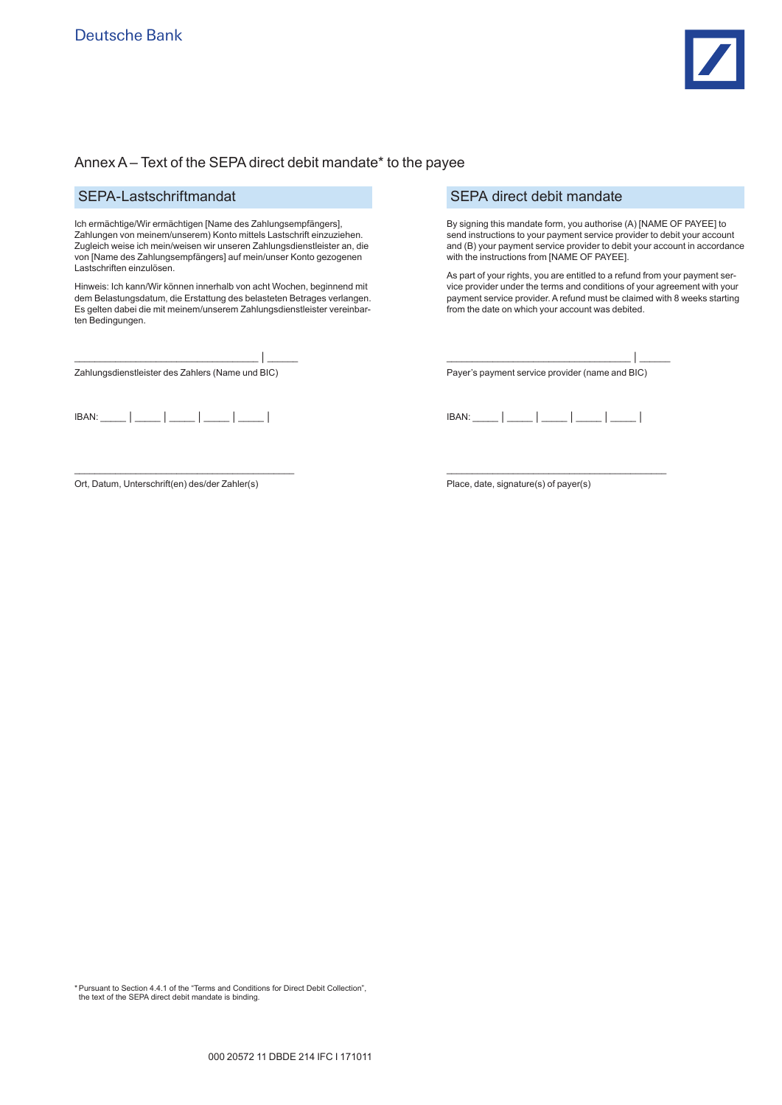# Annex A – Text of the SEPA direct debit mandate\* to the payee

# SEPA-Lastschriftmandat

Ich ermächtige/Wir ermächtigen [Name des Zahlungsempfängers], Zahlungen von meinem/unserem) Konto mittels Lastschrift einzuziehen. Zugleich weise ich mein/weisen wir unseren Zahlungsdienstleister an, die von [Name des Zahlungsempfängers] auf mein/unser Konto gezogenen Lastschriften einzulösen.

Hinweis: Ich kann/Wir können innerhalb von acht Wochen, beginnend mit dem Belastungsdatum, die Erstattung des belasteten Betrages verlangen. Es gelten dabei die mit meinem/unserem Zahlungsdienstleister vereinbarten Bedingungen.

\_\_\_\_\_\_\_\_\_\_\_\_\_\_\_\_\_\_\_\_\_\_\_\_\_\_\_\_\_\_\_\_\_\_\_\_ │ \_\_\_\_\_\_ Zahlungsdienstleister des Zahlers (Name und BIC)

| IBAN: |  |  |  |
|-------|--|--|--|

Ort, Datum, Unterschrift(en) des/der Zahler(s)

\_\_\_\_\_\_\_\_\_\_\_\_\_\_\_\_\_\_\_\_\_\_\_\_\_\_\_\_\_\_\_\_\_\_\_\_\_\_\_\_\_\_\_

SEPA direct debit mandate

By signing this mandate form, you authorise (A) [NAME OF PAYEE] to send instructions to your payment service provider to debit your account and (B) your payment service provider to debit your account in accordance with the instructions from [NAME OF PAYEE].

As part of your rights, you are entitled to a refund from your payment service provider under the terms and conditions of your agreement with your payment service provider. A refund must be claimed with 8 weeks starting from the date on which your account was debited.

| Payer's payment service provider (name and BIC) |  |
|-------------------------------------------------|--|
|                                                 |  |

\_\_\_\_\_\_\_\_\_\_\_\_\_\_\_\_\_\_\_\_\_\_\_\_\_\_\_\_\_\_\_\_\_\_\_\_\_\_\_\_\_\_\_

IBAN: \_\_\_\_\_ │ \_\_\_\_\_ │ \_\_\_\_\_ │ \_\_\_\_\_ │ \_\_\_\_\_ │

|  | Place, date, signature(s) of payer(s) |  |  |  |
|--|---------------------------------------|--|--|--|
|  |                                       |  |  |  |

\*Pursuant to Section 4.4.1 of the "Terms and Conditions for Direct Debit Collection", the text of the SEPA direct debit mandate is binding.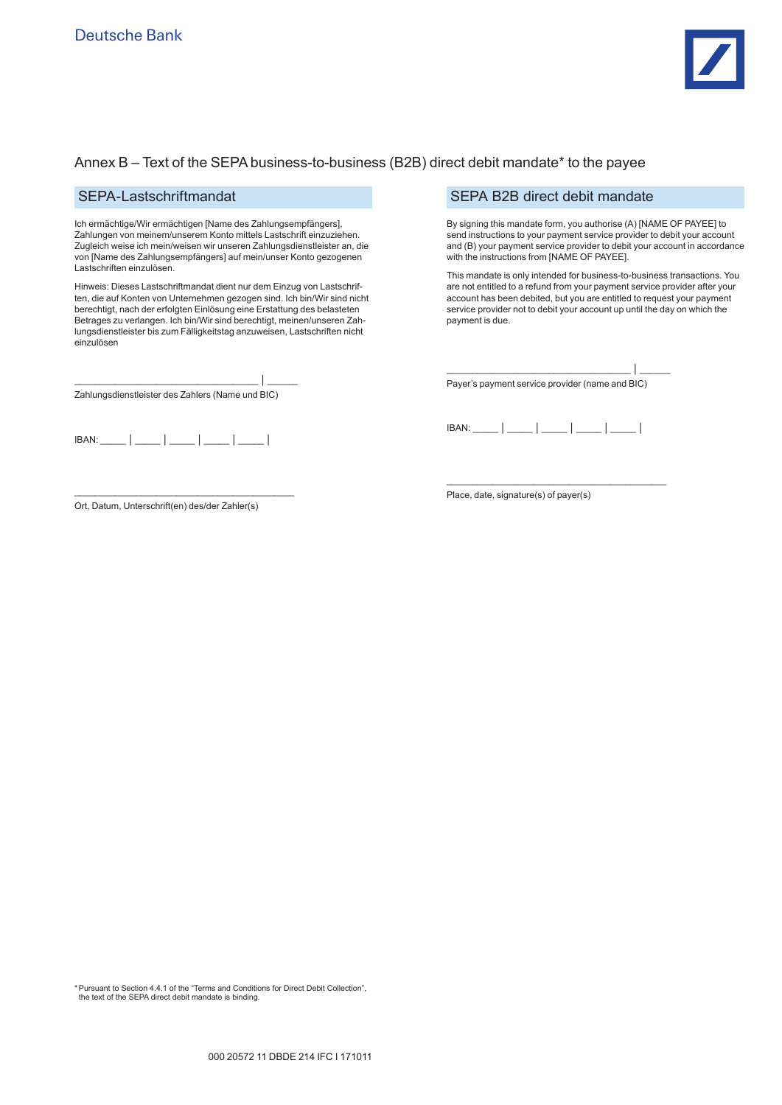

# Annex B – Text of the SEPA business-to-business (B2B) direct debit mandate\* to the payee

# SEPA-Lastschriftmandat

Ich ermächtige/Wir ermächtigen [Name des Zahlungsempfängers], Zahlungen von meinem/unserem Konto mittels Lastschrift einzuziehen. Zugleich weise ich mein/weisen wir unseren Zahlungsdienstleister an, die von [Name des Zahlungsempfängers] auf mein/unser Konto gezogenen Lastschriften einzulösen.

Hinweis: Dieses Lastschriftmandat dient nur dem Einzug von Lastschriften, die auf Konten von Unternehmen gezogen sind. Ich bin/Wir sind nicht berechtigt, nach der erfolgten Einlösung eine Erstattung des belasteten Betrages zu verlangen. Ich bin/Wir sind berechtigt, meinen/unseren Zahlungsdienstleister bis zum Fälligkeitstag anzuweisen, Lastschriften nicht einzulösen

\_\_\_\_\_\_\_\_\_\_\_\_\_\_\_\_\_\_\_\_\_\_\_\_\_\_\_\_\_\_\_\_\_\_\_\_ │ \_\_\_\_\_\_ Zahlungsdienstleister des Zahlers (Name und BIC)

IBAN: \_\_\_\_\_ │ \_\_\_\_\_ │ \_\_\_\_\_ │ \_\_\_\_\_ │ \_\_\_\_\_ │

Ort, Datum, Unterschrift(en) des/der Zahler(s)

 $\mathcal{L}_\text{max}$  and  $\mathcal{L}_\text{max}$  and  $\mathcal{L}_\text{max}$  and  $\mathcal{L}_\text{max}$ 

# SEPA B2B direct debit mandate

By signing this mandate form, you authorise (A) [NAME OF PAYEE] to send instructions to your payment service provider to debit your account and (B) your payment service provider to debit your account in accordance with the instructions from [NAME OF PAYEE].

This mandate is only intended for business-to-business transactions. You are not entitled to a refund from your payment service provider after your account has been debited, but you are entitled to request your payment service provider not to debit your account up until the day on which the payment is due.

\_\_\_\_\_\_\_\_\_\_\_\_\_\_\_\_\_\_\_\_\_\_\_\_\_\_\_\_\_\_\_\_\_\_\_\_ │ \_\_\_\_\_\_ Payer's payment service provider (name and BIC)

IBAN: \_\_\_\_\_ │ \_\_\_\_\_ │ \_\_\_\_\_ │ \_\_\_\_\_ │ \_\_\_\_\_ │

 $\mathcal{L}_\text{max}$  and  $\mathcal{L}_\text{max}$  and  $\mathcal{L}_\text{max}$  and  $\mathcal{L}_\text{max}$ 

Place, date, signature(s) of payer(s)

\*Pursuant to Section 4.4.1 of the "Terms and Conditions for Direct Debit Collection", the text of the SEPA direct debit mandate is binding.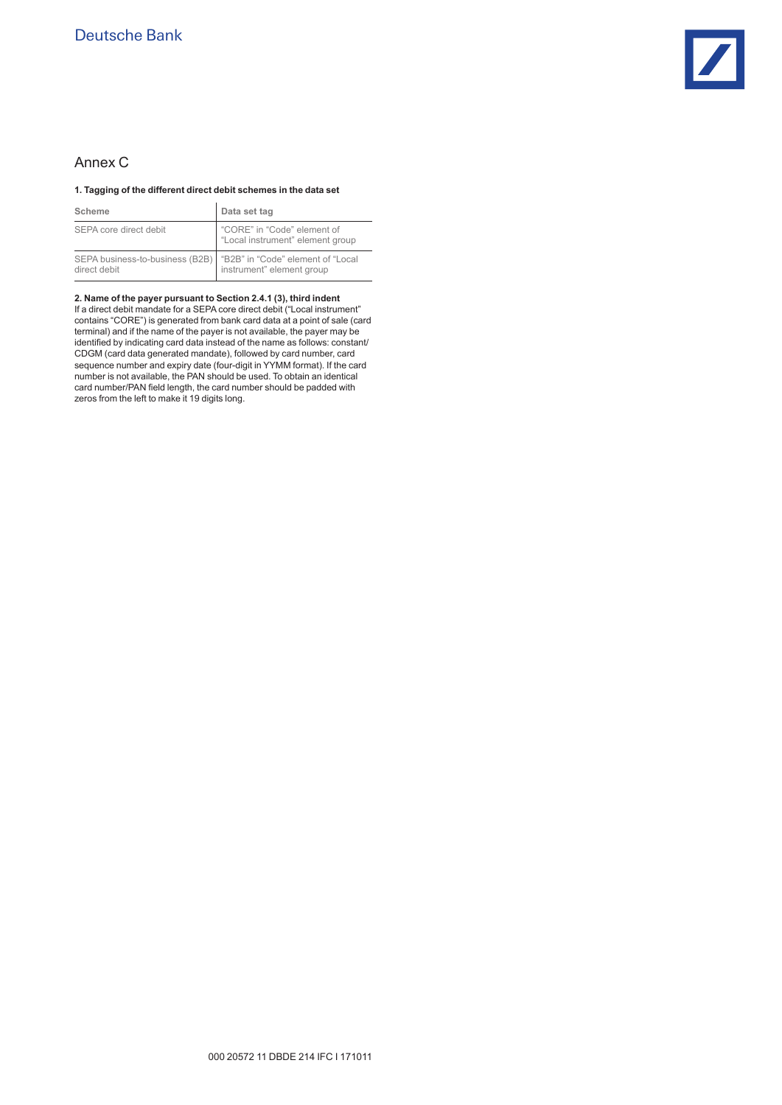# Annex C

# **1. Tagging of the different direct debit schemes in the data set**

| Scheme                                            | Data set tag                                                    |
|---------------------------------------------------|-----------------------------------------------------------------|
| SEPA core direct debit                            | "CORE" in "Code" element of<br>"Local instrument" element group |
| SEPA business-to-business (B2B)  <br>direct debit | "B2B" in "Code" element of "Local<br>instrument" element group  |

# **2. Name of the payer pursuant to Section 2.4.1 (3), third indent**

If a direct debit mandate for a SEPA core direct debit ("Local instrument" contains "CORE") is generated from bank card data at a point of sale (card terminal) and if the name of the payer is not available, the payer may be identified by indicating card data instead of the name as follows: constant/ CDGM (card data generated mandate), followed by card number, card sequence number and expiry date (four-digit in YYMM format). If the card number is not available, the PAN should be used. To obtain an identical card number/PAN field length, the card number should be padded with zeros from the left to make it 19 digits long.